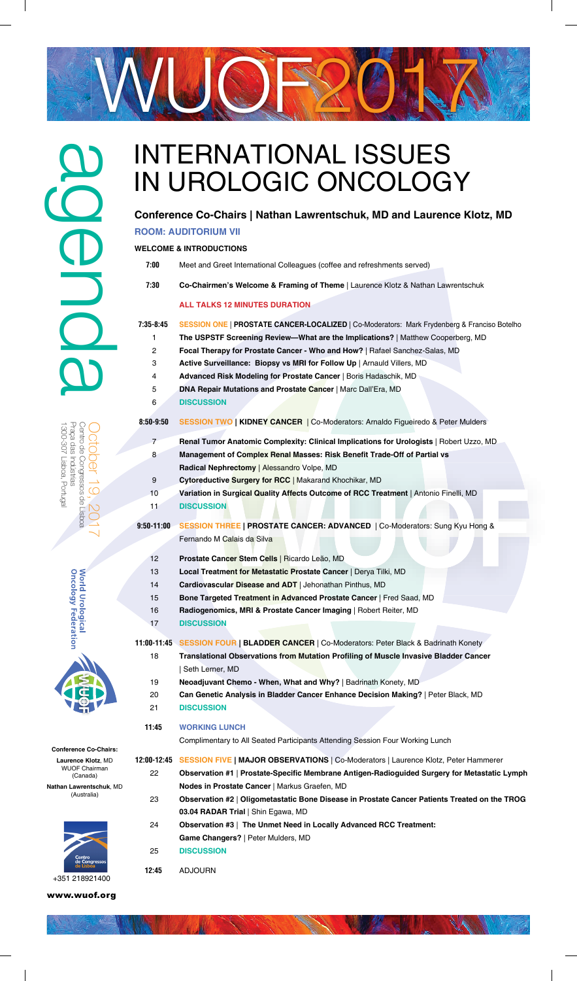



#### **Conference Co-Chairs:**

**Laurence Klotz**, MD WUOF Chairman (Canada)

**Nathan Lawrentschuk**, MD (Australia)

www.wuof.org

# INTERNATIONAL ISSUES agenda IN UROLOGIC ONCOLOGY **Conference Co-Chairs | Nathan Lawrentschuk, MD and Laurence Klotz, MD ROOM: AUDITORIUM VII WELCOME & INTRODUCTIONS 7:00** Meet and Greet International Colleagues (coffee and refreshments served)  **7:30 Co-Chairmen's Welcome & Framing of Theme** | Laurence Klotz & Nathan Lawrentschuk **ALL TALKS 12 MINUTES DURATION 7:35-8:45 SESSION ONE** | **PROSTATE CANCER-LOCALIZED** | Co-Moderators: Mark Frydenberg & Franciso Botelho 1 **The USPSTF Screening Review—What are the Implications?** | Matthew Cooperberg, MD 2 **Focal Therapy for Prostate Cancer - Who and How?** | Rafael Sanchez-Salas, MD 3 **Active Surveillance: Biopsy vs MRI for Follow Up** | Arnauld Villers, MD 4 **Advanced Risk Modeling for Prostate Cancer** | Boris Hadaschik, MD 5 **DNA Repair Mutations and Prostate Cancer** | Marc Dall'Era, MD 6 **DISCUSSION 8:50-9:50 SESSION TWO | KIDNEY CANCER** | Co-Moderators: Arnaldo Figueiredo & Peter Mulders Praça das Indústrias Centro de Congressos de Lisboa October 19, 20171300-307 Lisboa, Portugal Praça das Indústrias 300-307 Lisboa, Portugal Podsul eb sosseagnoco de Lisboa 7 **Renal Tumor Anatomic Complexity: Clinical Implications for Urologists** | Robert Uzzo, MD 8 **Management of Complex Renal Masses: Risk Benefit Trade-Off of Partial vs**  $\Theta$  **Radical Nephrectomy** | Alessandro Volpe, MD 9 **Cytoreductive Surgery for RCC** | Makarand Khochikar, MD  $\overline{C}$  10 **Variation in Surgical Quality Affects Outcome of RCC Treatment** | Antonio Finelli, MD 11 **DISCUSSION 9:50-11:00 SESSION THREE | PROSTATE CANCER: ADVANCED** | Co-Moderators: Sung Kyu Hong & Fernando M Calais da Silva 12 **Prostate Cancer Stem Cells** | Ricardo Leão, MD World Urological<br>Oncology Federation 13 **Local Treatment for Metastatic Prostate Cancer** | Derya Tilki, MD 14 **Cardiovascular Disease and ADT** | Jehonathan Pinthus, MD 15 **Bone Targeted Treatment in Advanced Prostate Cancer** | Fred Saad, MD 16 **Radiogenomics, MRI & Prostate Cancer Imaging** | Robert Reiter, MD 17 **DISCUSSION 11:00-11:45 SESSION FOUR | BLADDER CANCER** | Co-Moderators: Peter Black & Badrinath Konety 18 **Translational Observations from Mutation Profiling of Muscle Invasive Bladder Cancer**  | Seth Lerner, MD 19 **Neoadjuvant Chemo - When, What and Why?** | Badrinath Konety, MD 20 **Can Genetic Analysis in Bladder Cancer Enhance Decision Making?** | Peter Black, MD 21 **DISCUSSION**



# **11:45 WORKING LUNCH**

Complimentary to All Seated Participants Attending Session Four Working Lunch

- **12:00-12:45 SESSION FIVE | MAJOR OBSERVATIONS** | Co-Moderators | Laurence Klotz, Peter Hammerer
	- 22 **Observation #1 | Prostate-Specific Membrane Antigen-Radioguided Surgery for Metastatic Lymph Nodes in Prostate Cancer** | Markus Graefen, MD
	- 23 **Observation #2** | **Oligometastatic Bone Disease in Prostate Cancer Patients Treated on the TROG 03.04 RADAR Trial** | Shin Egawa, MD
	- 24 **Observation #3** | **The Unmet Need in Locally Advanced RCC Treatment:**

 **Game Changers?** | Peter Mulders, MD

- 25 **DISCUSSION**
- **12:45** ADJOURN